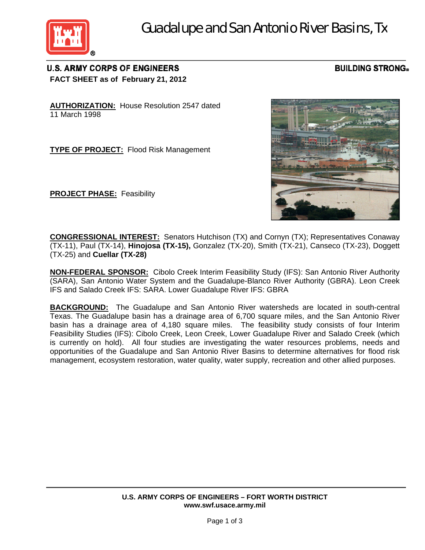

## **U.S. ARMY CORPS OF ENGINEERS FACT SHEET as of February 21, 2012**

## **BUILDING STRONG®**

**AUTHORIZATION:**House Resolution 2547 dated 11 March 1998

**TYPE OF PROJECT:** Flood Risk Management

**PROJECT PHASE:** Feasibility



**CONGRESSIONAL INTEREST:** Senators Hutchison (TX) and Cornyn (TX); Representatives Conaway (TX-11), Paul (TX-14), **Hinojosa (TX-15),** Gonzalez (TX-20), Smith (TX-21), Canseco (TX-23), Doggett (TX-25) and **Cuellar (TX-28)**

**NON-FEDERAL SPONSOR:** Cibolo Creek Interim Feasibility Study (IFS): San Antonio River Authority (SARA), San Antonio Water System and the Guadalupe-Blanco River Authority (GBRA). Leon Creek IFS and Salado Creek IFS: SARA. Lower Guadalupe River IFS: GBRA

**BACKGROUND:** The Guadalupe and San Antonio River watersheds are located in south-central Texas. The Guadalupe basin has a drainage area of 6,700 square miles, and the San Antonio River basin has a drainage area of 4,180 square miles. The feasibility study consists of four Interim Feasibility Studies (IFS): Cibolo Creek, Leon Creek, Lower Guadalupe River and Salado Creek (which is currently on hold). All four studies are investigating the water resources problems, needs and opportunities of the Guadalupe and San Antonio River Basins to determine alternatives for flood risk management, ecosystem restoration, water quality, water supply, recreation and other allied purposes.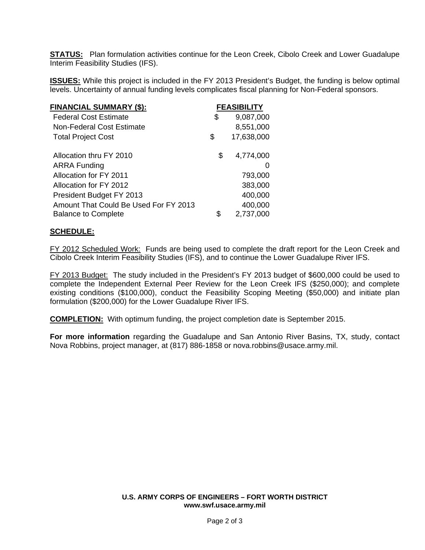**STATUS:** Plan formulation activities continue for the Leon Creek, Cibolo Creek and Lower Guadalupe Interim Feasibility Studies (IFS).

**ISSUES:** While this project is included in the FY 2013 President's Budget, the funding is below optimal levels. Uncertainty of annual funding levels complicates fiscal planning for Non-Federal sponsors.

| <u> FINANCIAL SUMMARY (\$):</u>       | <b>FEASIBILITY</b> |               |
|---------------------------------------|--------------------|---------------|
| <b>Federal Cost Estimate</b>          | \$                 | 9,087,000     |
| Non-Federal Cost Estimate             |                    | 8,551,000     |
| <b>Total Project Cost</b>             | \$                 | 17,638,000    |
| Allocation thru FY 2010               | \$                 | 4,774,000     |
| <b>ARRA Funding</b>                   |                    | $\mathcal{L}$ |
| Allocation for FY 2011                |                    | 793,000       |
| Allocation for FY 2012                |                    | 383,000       |
| President Budget FY 2013              |                    | 400,000       |
| Amount That Could Be Used For FY 2013 |                    | 400,000       |
| <b>Balance to Complete</b>            | S                  | 2,737,000     |

## **SCHEDULE:**

FY 2012 Scheduled Work: Funds are being used to complete the draft report for the Leon Creek and Cibolo Creek Interim Feasibility Studies (IFS), and to continue the Lower Guadalupe River IFS.

FY 2013 Budget: The study included in the President's FY 2013 budget of \$600,000 could be used to complete the Independent External Peer Review for the Leon Creek IFS (\$250,000); and complete existing conditions (\$100,000), conduct the Feasibility Scoping Meeting (\$50,000) and initiate plan formulation (\$200,000) for the Lower Guadalupe River IFS.

**COMPLETION:** With optimum funding, the project completion date is September 2015.

**For more information** regarding the Guadalupe and San Antonio River Basins, TX, study, contact Nova Robbins, project manager, at (817) 886-1858 or nova.robbins@usace.army.mil.